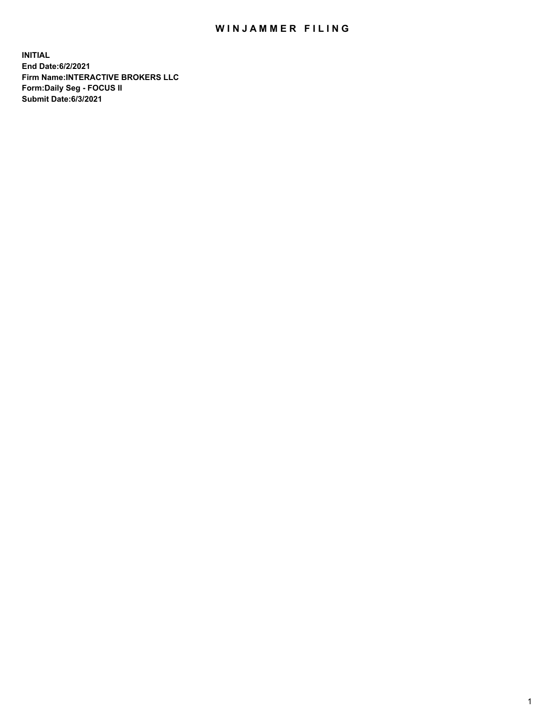## WIN JAMMER FILING

**INITIAL End Date:6/2/2021 Firm Name:INTERACTIVE BROKERS LLC Form:Daily Seg - FOCUS II Submit Date:6/3/2021**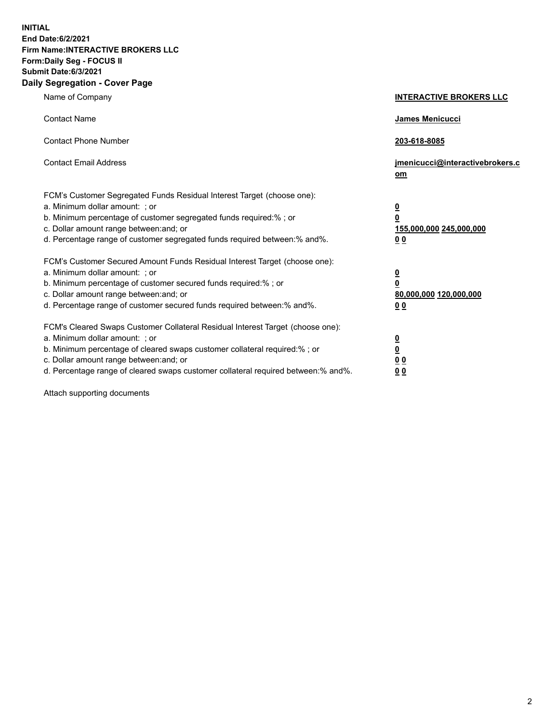**INITIAL End Date:6/2/2021 Firm Name:INTERACTIVE BROKERS LLC Form:Daily Seg - FOCUS II Submit Date:6/3/2021 Daily Segregation - Cover Page**

| Name of Company                                                                                                                                                                                                                                                                                                                | <b>INTERACTIVE BROKERS LLC</b>                                                                  |
|--------------------------------------------------------------------------------------------------------------------------------------------------------------------------------------------------------------------------------------------------------------------------------------------------------------------------------|-------------------------------------------------------------------------------------------------|
| <b>Contact Name</b>                                                                                                                                                                                                                                                                                                            | James Menicucci                                                                                 |
| <b>Contact Phone Number</b>                                                                                                                                                                                                                                                                                                    | 203-618-8085                                                                                    |
| <b>Contact Email Address</b>                                                                                                                                                                                                                                                                                                   | jmenicucci@interactivebrokers.c<br>om                                                           |
| FCM's Customer Segregated Funds Residual Interest Target (choose one):<br>a. Minimum dollar amount: ; or<br>b. Minimum percentage of customer segregated funds required:% ; or<br>c. Dollar amount range between: and; or<br>d. Percentage range of customer segregated funds required between:% and%.                         | $\overline{\mathbf{0}}$<br>$\overline{\mathbf{0}}$<br>155,000,000 245,000,000<br>0 <sub>0</sub> |
| FCM's Customer Secured Amount Funds Residual Interest Target (choose one):<br>a. Minimum dollar amount: ; or<br>b. Minimum percentage of customer secured funds required:%; or<br>c. Dollar amount range between: and; or<br>d. Percentage range of customer secured funds required between:% and%.                            | $\overline{\mathbf{0}}$<br>$\overline{\mathbf{0}}$<br>80,000,000 120,000,000<br>0 <sub>0</sub>  |
| FCM's Cleared Swaps Customer Collateral Residual Interest Target (choose one):<br>a. Minimum dollar amount: ; or<br>b. Minimum percentage of cleared swaps customer collateral required:% ; or<br>c. Dollar amount range between: and; or<br>d. Percentage range of cleared swaps customer collateral required between:% and%. | $\frac{0}{0}$<br>0 <sub>0</sub><br>0 <sub>0</sub>                                               |

Attach supporting documents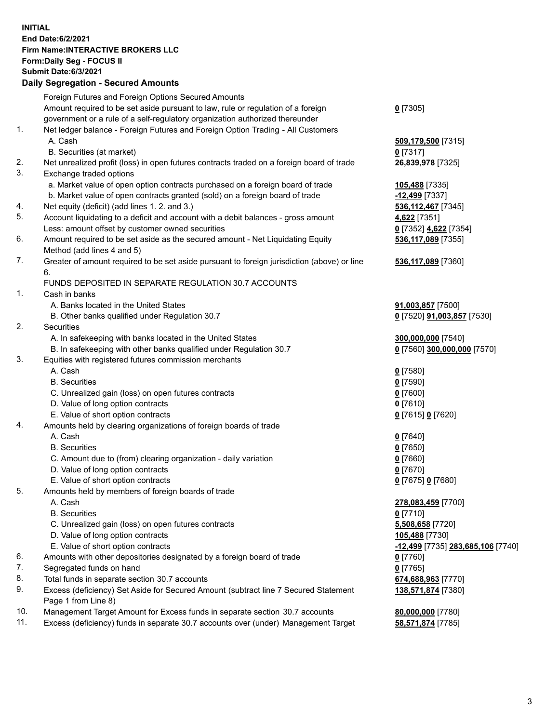## **INITIAL End Date:6/2/2021 Firm Name:INTERACTIVE BROKERS LLC Form:Daily Seg - FOCUS II Submit Date:6/3/2021 Daily Segregation - Secured Amounts**

|     | 2011, Ocgi ogation - Oceaned Anioania                                                       |                                   |
|-----|---------------------------------------------------------------------------------------------|-----------------------------------|
|     | Foreign Futures and Foreign Options Secured Amounts                                         |                                   |
|     | Amount required to be set aside pursuant to law, rule or regulation of a foreign            | $0$ [7305]                        |
|     | government or a rule of a self-regulatory organization authorized thereunder                |                                   |
| 1.  | Net ledger balance - Foreign Futures and Foreign Option Trading - All Customers             |                                   |
|     | A. Cash                                                                                     | 509,179,500 [7315]                |
|     | B. Securities (at market)                                                                   | $0$ [7317]                        |
| 2.  | Net unrealized profit (loss) in open futures contracts traded on a foreign board of trade   | 26,839,978 [7325]                 |
| 3.  | Exchange traded options                                                                     |                                   |
|     | a. Market value of open option contracts purchased on a foreign board of trade              | 105,488 [7335]                    |
|     | b. Market value of open contracts granted (sold) on a foreign board of trade                | $-12,499$ [7337]                  |
| 4.  | Net equity (deficit) (add lines 1. 2. and 3.)                                               | 536,112,467 [7345]                |
| 5.  | Account liquidating to a deficit and account with a debit balances - gross amount           | 4,622 [7351]                      |
|     | Less: amount offset by customer owned securities                                            | 0 [7352] 4,622 [7354]             |
| 6.  | Amount required to be set aside as the secured amount - Net Liquidating Equity              | 536,117,089 [7355]                |
|     | Method (add lines 4 and 5)                                                                  |                                   |
| 7.  | Greater of amount required to be set aside pursuant to foreign jurisdiction (above) or line | 536,117,089 [7360]                |
|     | 6.                                                                                          |                                   |
|     | FUNDS DEPOSITED IN SEPARATE REGULATION 30.7 ACCOUNTS                                        |                                   |
| 1.  | Cash in banks                                                                               |                                   |
|     | A. Banks located in the United States                                                       | 91,003,857 [7500]                 |
|     | B. Other banks qualified under Regulation 30.7                                              | 0 [7520] 91,003,857 [7530]        |
| 2.  | Securities                                                                                  |                                   |
|     | A. In safekeeping with banks located in the United States                                   | 300,000,000 [7540]                |
|     | B. In safekeeping with other banks qualified under Regulation 30.7                          | 0 [7560] 300,000,000 [7570]       |
| 3.  | Equities with registered futures commission merchants                                       |                                   |
|     | A. Cash                                                                                     | $0$ [7580]                        |
|     | <b>B.</b> Securities                                                                        | $0$ [7590]                        |
|     | C. Unrealized gain (loss) on open futures contracts                                         | $0$ [7600]                        |
|     | D. Value of long option contracts                                                           | $0$ [7610]                        |
|     | E. Value of short option contracts                                                          | 0 [7615] 0 [7620]                 |
| 4.  | Amounts held by clearing organizations of foreign boards of trade                           |                                   |
|     | A. Cash                                                                                     | $Q$ [7640]                        |
|     | <b>B.</b> Securities                                                                        | $0$ [7650]                        |
|     | C. Amount due to (from) clearing organization - daily variation                             | $0$ [7660]                        |
|     | D. Value of long option contracts                                                           | $0$ [7670]                        |
|     | E. Value of short option contracts                                                          | 0 [7675] 0 [7680]                 |
| 5.  | Amounts held by members of foreign boards of trade                                          |                                   |
|     | A. Cash                                                                                     | 278,083,459 [7700]                |
|     | <b>B.</b> Securities                                                                        | $0$ [7710]                        |
|     | C. Unrealized gain (loss) on open futures contracts                                         | 5,508,658 [7720]                  |
|     | D. Value of long option contracts                                                           | 105,488 [7730]                    |
|     | E. Value of short option contracts                                                          | -12,499 [7735] 283,685,106 [7740] |
| 6.  | Amounts with other depositories designated by a foreign board of trade                      | $0$ [7760]                        |
| 7.  | Segregated funds on hand                                                                    | $0$ [7765]                        |
| 8.  | Total funds in separate section 30.7 accounts                                               | 674,688,963 [7770]                |
| 9.  | Excess (deficiency) Set Aside for Secured Amount (subtract line 7 Secured Statement         | 138,571,874 [7380]                |
|     | Page 1 from Line 8)                                                                         |                                   |
| 10. | Management Target Amount for Excess funds in separate section 30.7 accounts                 | 80,000,000 [7780]                 |
| 11. | Excess (deficiency) funds in separate 30.7 accounts over (under) Management Target          | 58,571,874 [7785]                 |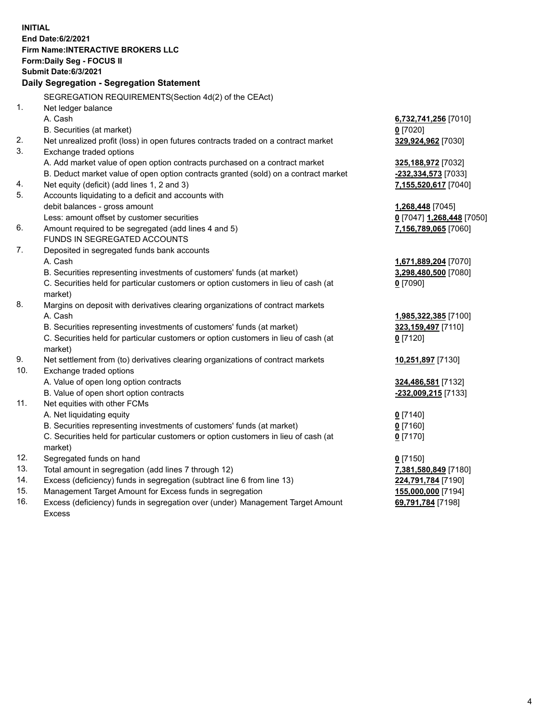**INITIAL End Date:6/2/2021 Firm Name:INTERACTIVE BROKERS LLC Form:Daily Seg - FOCUS II Submit Date:6/3/2021 Daily Segregation - Segregation Statement** SEGREGATION REQUIREMENTS(Section 4d(2) of the CEAct) 1. Net ledger balance A. Cash **6,732,741,256** [7010] B. Securities (at market) **0** [7020] 2. Net unrealized profit (loss) in open futures contracts traded on a contract market **329,924,962** [7030] 3. Exchange traded options A. Add market value of open option contracts purchased on a contract market **325,188,972** [7032] B. Deduct market value of open option contracts granted (sold) on a contract market **-232,334,573** [7033] 4. Net equity (deficit) (add lines 1, 2 and 3) **7,155,520,617** [7040] 5. Accounts liquidating to a deficit and accounts with debit balances - gross amount **1,268,448** [7045] Less: amount offset by customer securities **0** [7047] **1,268,448** [7050] 6. Amount required to be segregated (add lines 4 and 5) **7,156,789,065** [7060] FUNDS IN SEGREGATED ACCOUNTS 7. Deposited in segregated funds bank accounts A. Cash **1,671,889,204** [7070] B. Securities representing investments of customers' funds (at market) **3,298,480,500** [7080] C. Securities held for particular customers or option customers in lieu of cash (at market) **0** [7090] 8. Margins on deposit with derivatives clearing organizations of contract markets A. Cash **1,985,322,385** [7100] B. Securities representing investments of customers' funds (at market) **323,159,497** [7110] C. Securities held for particular customers or option customers in lieu of cash (at market) **0** [7120] 9. Net settlement from (to) derivatives clearing organizations of contract markets **10,251,897** [7130] 10. Exchange traded options A. Value of open long option contracts **324,486,581** [7132] B. Value of open short option contracts **-232,009,215** [7133] 11. Net equities with other FCMs A. Net liquidating equity **0** [7140] B. Securities representing investments of customers' funds (at market) **0** [7160] C. Securities held for particular customers or option customers in lieu of cash (at market) **0** [7170] 12. Segregated funds on hand **0** [7150] 13. Total amount in segregation (add lines 7 through 12) **7,381,580,849** [7180] 14. Excess (deficiency) funds in segregation (subtract line 6 from line 13) **224,791,784** [7190] 15. Management Target Amount for Excess funds in segregation **155,000,000** [7194] 16. Excess (deficiency) funds in segregation over (under) Management Target Amount Excess **69,791,784** [7198]